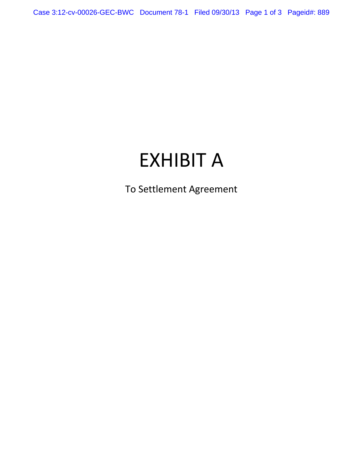Case 3:12-cv-00026-GEC-BWC Document 78-1 Filed 09/30/13 Page 1 of 3 Pageid#: 889

# EXHIBIT A

To Settlement Agreement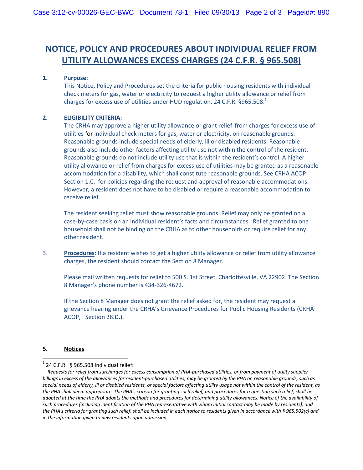## **NOTICE, POLICY AND PROCEDURES ABOUT INDIVIDUAL RELIEF FROM UTILITY ALLOWANCES EXCESS CHARGES (24 C.F.R. § 965.508)**

#### **1. Purpose:**

This Notice, Policy and Procedures set the criteria for public housing residents with individual check meters for gas, water or electricity to request a higher utility allowance or relief from charges for excess use of utilities under HUD regulation, 24 C.F.R. §965.508. $^1$ 

#### **2. ELIGIBILITY CRITERIA:**

The CRHA may approve a higher utility allowance or grant relief from charges for excess use of utilities for individual check meters for gas, water or electricity, on reasonable grounds. Reasonable grounds include special needs of elderly, ill or disabled residents. Reasonable grounds also include other factors affecting utility use not within the control of the resident. Reasonable grounds do not include utility use that is within the resident's control. A higher utility allowance or relief from charges for excess use of utilities may be granted as a reasonable accommodation for a disability, which shall constitute reasonable grounds. See CRHA ACOP Section 1.C. for policies regarding the request and approval of reasonable accommodations. However, a resident does not have to be disabled or require a reasonable accommodation to receive relief.

The resident seeking relief must show reasonable grounds. Relief may only be granted on a case-by-case basis on an individual resident's facts and circumstances. Relief granted to one household shall not be binding on the CRHA as to other households or require relief for any other resident.

3. **Procedures**: If a resident wishes to get a higher utility allowance or relief from utility allowance charges, the resident should contact the Section 8 Manager.

Please mail written requests for relief to 500 S. 1st Street, Charlottesville, VA 22902. The Section 8 Manager's phone number is 434-326-4672.

If the Section 8 Manager does not grant the relief asked for, the resident may request a grievance hearing under the CRHA's Grievance Procedures for Public Housing Residents (CRHA ACOP, Section 28.D.).

#### **5. Notices**

 $\overline{\phantom{a}}$ 

 $1$  24 C.F.R. § 965.508 Individual relief:

*Requests for relief from surcharges for excess consumption of PHA-purchased utilities, or from payment of utility supplier billings in excess of the allowances for resident-purchased utilities, may be granted by the PHA on reasonable grounds, such as special needs of elderly, ill or disabled residents, or special factors affecting utility usage not within the control of the resident, as the PHA shall deem appropriate. The PHA's criteria for granting such relief, and procedures for requesting such relief, shall be adopted at the time the PHA adopts the methods and procedures for determining utility allowances. Notice of the availability of such procedures (including identification of the PHA representative with whom initial contact may be made by residents), and the PHA's criteria for granting such relief, shall be included in each notice to residents given in accordance with § 965.502(c) and in the information given to new residents upon admission.*